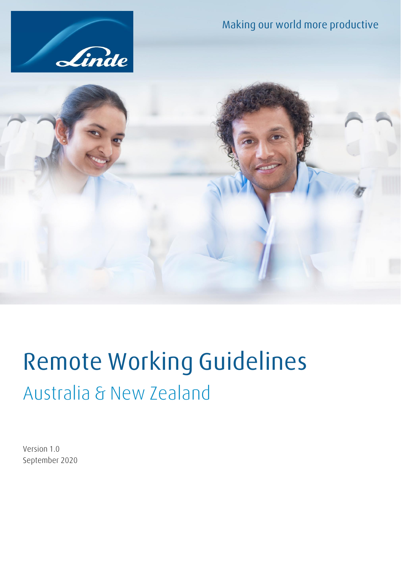





# **Remote Working Guidelines** Australia & New Zealand

Version 1.0 September 2020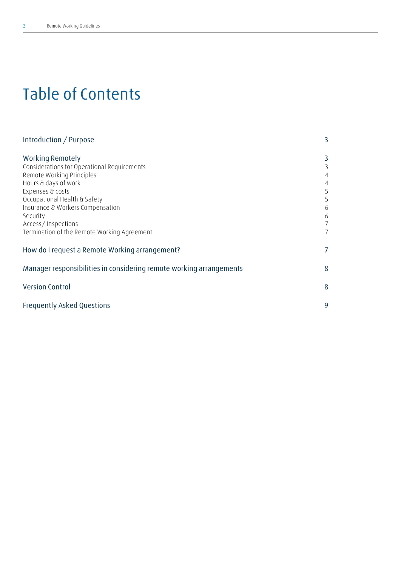## **Table of Contents**

| Introduction / Purpose                                              | 3              |
|---------------------------------------------------------------------|----------------|
| <b>Working Remotely</b>                                             | 3              |
| Considerations for Operational Requirements                         | 3              |
| Remote Working Principles                                           |                |
| Hours & days of work                                                | 4              |
| Expenses & costs                                                    | 5              |
| Occupational Health & Safety                                        | 5              |
| Insurance & Workers Compensation                                    | 6              |
| Security                                                            | 6              |
| Access/Inspections                                                  | 7              |
| Termination of the Remote Working Agreement                         | $\overline{7}$ |
| How do I request a Remote Working arrangement?                      | 7              |
| Manager responsibilities in considering remote working arrangements | 8              |
| <b>Version Control</b>                                              | 8              |
| <b>Frequently Asked Questions</b>                                   | 9              |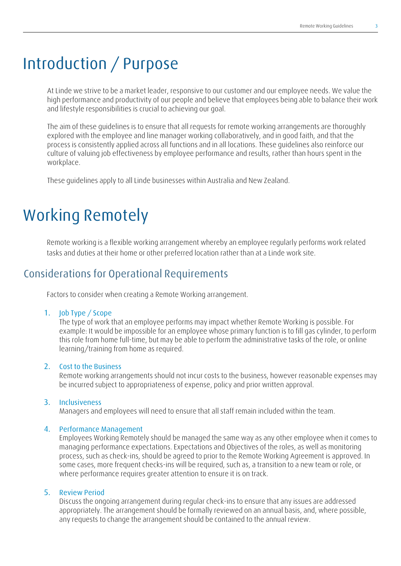## <span id="page-2-0"></span>**Introduction / Purpose**

At Linde we strive to be a market leader, responsive to our customer and our employee needs. We value the high performance and productivity of our people and believe that employees being able to balance their work and lifestyle responsibilities is crucial to achieving our goal.

The aim of these guidelines is to ensure that all requests for remote working arrangements are thoroughly explored with the employee and line manager working collaboratively, and in good faith, and that the process is consistently applied across all functions and in all locations. These guidelines also reinforce our culture of valuing job effectiveness by employee performance and results, rather than hours spent in the workplace.

These guidelines apply to all Linde businesses within Australia and New Zealand.

## <span id="page-2-1"></span>**Working Remotely**

Remote working is a flexible working arrangement whereby an employee regularly performs work related tasks and duties at their home or other preferred location rather than at a Linde work site.

### <span id="page-2-2"></span>**Considerations for Operational Requirements**

Factors to consider when creating a Remote Working arrangement.

#### **1. Job Type / Scope**

The type of work that an employee performs may impact whether Remote Working is possible. For example: It would be impossible for an employee whose primary function is to fill gas cylinder, to perform this role from home full-time, but may be able to perform the administrative tasks of the role, or online learning/training from home as required.

### **2. Cost to the Business**

Remote working arrangements should not incur costs to the business, however reasonable expenses may be incurred subject to appropriateness of expense, policy and prior written approval.

#### **3. Inclusiveness**

Managers and employees will need to ensure that all staff remain included within the team.

#### **4. Performance Management**

Employees Working Remotely should be managed the same way as any other employee when it comes to managing performance expectations. Expectations and Objectives of the roles, as well as monitoring process, such as check-ins, should be agreed to prior to the Remote Working Agreement is approved. In some cases, more frequent checks-ins will be required, such as, a transition to a new team or role, or where performance requires greater attention to ensure it is on track.

#### **5. Review Period**

Discuss the ongoing arrangement during regular check-ins to ensure that any issues are addressed appropriately. The arrangement should be formally reviewed on an annual basis, and, where possible, any requests to change the arrangement should be contained to the annual review.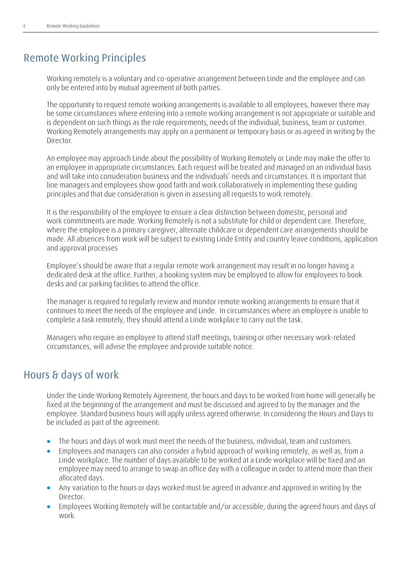## <span id="page-3-0"></span>**Remote Working Principles**

Working remotely is a voluntary and co-operative arrangement between Linde and the employee and can only be entered into by mutual agreement of both parties.

The opportunity to request remote working arrangements is available to all employees, however there may be some circumstances where entering into a remote working arrangement is not appropriate or suitable and is dependent on such things as the role requirements, needs of the individual, business, team or customer. Working Remotely arrangements may apply on a permanent or temporary basis or as agreed in writing by the Director.

An employee may approach Linde about the possibility of Working Remotely or Linde may make the offer to an employee in appropriate circumstances. Each request will be treated and managed on an individual basis and will take into consideration business and the individuals' needs and circumstances. It is important that line managers and employees show good faith and work collaboratively in implementing these guiding principles and that due consideration is given in assessing all requests to work remotely.

It is the responsibility of the employee to ensure a clear distinction between domestic, personal and work commitments are made. Working Remotely is not a substitute for child or dependent care. Therefore, where the employee is a primary caregiver, alternate childcare or dependent care arrangements should be made. All absences from work will be subject to existing Linde Entity and country leave conditions, application and approval processes

Employee's should be aware that a regular remote work arrangement may result in no longer having a dedicated desk at the office. Further, a booking system may be employed to allow for employees to book desks and car parking facilities to attend the office.

The manager is required to regularly review and monitor remote working arrangements to ensure that it continues to meet the needs of the employee and Linde. In circumstances where an employee is unable to complete a task remotely, they should attend a Linde workplace to carry out the task.

Managers who require an employee to attend staff meetings, training or other necessary work-related circumstances, will advise the employee and provide suitable notice.

## <span id="page-3-1"></span>**Hours & days of work**

Under the Linde Working Remotely Agreement, the hours and days to be worked from home will generally be fixed at the beginning of the arrangement and must be discussed and agreed to by the manager and the employee. Standard business hours will apply unless agreed otherwise. In considering the Hours and Days to be included as part of the agreement:

- The hours and days of work must meet the needs of the business, individual, team and customers.
- Employees and managers can also consider a hybrid approach of working remotely, as well as, from a Linde workplace. The number of days available to be worked at a Linde workplace will be fixed and an employee may need to arrange to swap an office day with a colleague in order to attend more than their allocated days.
- Any variation to the hours or days worked must be agreed in advance and approved in writing by the Director.
- Employees Working Remotely will be contactable and/or accessible, during the agreed hours and days of work.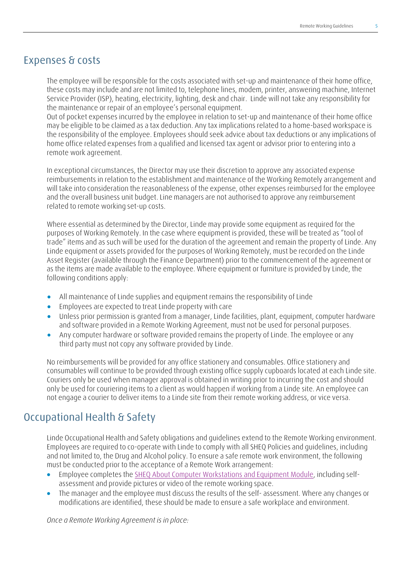### <span id="page-4-0"></span>**Expenses & costs**

The employee will be responsible for the costs associated with set-up and maintenance of their home office, these costs may include and are not limited to, telephone lines, modem, printer, answering machine, Internet Service Provider (ISP), heating, electricity, lighting, desk and chair. Linde will not take any responsibility for the maintenance or repair of an employee's personal equipment.

Out of pocket expenses incurred by the employee in relation to set-up and maintenance of their home office may be eligible to be claimed as a tax deduction. Any tax implications related to a home-based workspace is the responsibility of the employee. Employees should seek advice about tax deductions or any implications of home office related expenses from a qualified and licensed tax agent or advisor prior to entering into a remote work agreement.

In exceptional circumstances, the Director may use their discretion to approve any associated expense reimbursements in relation to the establishment and maintenance of the Working Remotely arrangement and will take into consideration the reasonableness of the expense, other expenses reimbursed for the employee and the overall business unit budget. Line managers are not authorised to approve any reimbursement related to remote working set-up costs.

Where essential as determined by the Director, Linde may provide some equipment as required for the purposes of Working Remotely. In the case where equipment is provided, these will be treated as "tool of trade" items and as such will be used for the duration of the agreement and remain the property of Linde. Any Linde equipment or assets provided for the purposes of Working Remotely, must be recorded on the Linde Asset Register (available through the Finance Department) prior to the commencement of the agreement or as the items are made available to the employee. Where equipment or furniture is provided by Linde, the following conditions apply:

- All maintenance of Linde supplies and equipment remains the responsibility of Linde
- Employees are expected to treat Linde property with care
- Unless prior permission is granted from a manager, Linde facilities, plant, equipment, computer hardware and software provided in a Remote Working Agreement, must not be used for personal purposes.
- Any computer hardware or software provided remains the property of Linde. The employee or any third party must not copy any software provided by Linde.

No reimbursements will be provided for any office stationery and consumables. Office stationery and consumables will continue to be provided through existing office supply cupboards located at each Linde site. Couriers only be used when manager approval is obtained in writing prior to incurring the cost and should only be used for couriering items to a client as would happen if working from a Linde site. An employee can not engage a courier to deliver items to a Linde site from their remote working address, or vice versa.

## <span id="page-4-1"></span>**Occupational Health & Safety**

Linde Occupational Health and Safety obligations and guidelines extend to the Remote Working environment. Employees are required to co-operate with Linde to comply with all SHEQ Policies and guidelines, including and not limited to, the Drug and Alcohol policy. To ensure a safe remote work environment, the following must be conducted prior to the acceptance of a Remote Work arrangement:

- Employee completes the [SHEQ About Computer Workstations and Equipment Module,](http://limss.linde.grp/imss_doc/IMS-31-04-RSP_EN/start.htm) including selfassessment and provide pictures or video of the remote working space.
- The manager and the employee must discuss the results of the self- assessment. Where any changes or modifications are identified, these should be made to ensure a safe workplace and environment.

*Once a Remote Working Agreement is in place:*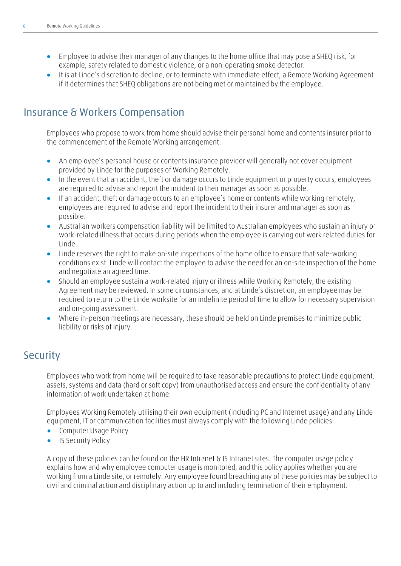- Employee to advise their manager of any changes to the home office that may pose a SHEQ risk, for example, safety related to domestic violence, or a non-operating smoke detector.
- It is at Linde's discretion to decline, or to terminate with immediate effect, a Remote Working Agreement if it determines that SHEQ obligations are not being met or maintained by the employee.

## <span id="page-5-0"></span>**Insurance & Workers Compensation**

Employees who propose to work from home should advise their personal home and contents insurer prior to the commencement of the Remote Working arrangement.

- An employee's personal house or contents insurance provider will generally not cover equipment provided by Linde for the purposes of Working Remotely.
- In the event that an accident, theft or damage occurs to Linde equipment or property occurs, employees are required to advise and report the incident to their manager as soon as possible.
- If an accident, theft or damage occurs to an employee's home or contents while working remotely, employees are required to advise and report the incident to their insurer and manager as soon as possible.
- Australian workers compensation liability will be limited to Australian employees who sustain an injury or work-related illness that occurs during periods when the employee is carrying out work related duties for Linde.
- Linde reserves the right to make on-site inspections of the home office to ensure that safe-working conditions exist. Linde will contact the employee to advise the need for an on-site inspection of the home and negotiate an agreed time.
- Should an employee sustain a work-related injury or illness while Working Remotely, the existing Agreement may be reviewed. In some circumstances, and at Linde's discretion, an employee may be required to return to the Linde worksite for an indefinite period of time to allow for necessary supervision and on-going assessment.
- Where in-person meetings are necessary, these should be held on Linde premises to minimize public liability or risks of injury.

### <span id="page-5-1"></span>**Security**

Employees who work from home will be required to take reasonable precautions to protect Linde equipment, assets, systems and data (hard or soft copy) from unauthorised access and ensure the confidentiality of any information of work undertaken at home.

Employees Working Remotely utilising their own equipment (including PC and Internet usage) and any Linde equipment, IT or communication facilities must always comply with the following Linde policies:

- Computer Usage Policy
- IS Security Policy

A copy of these policies can be found on the HR Intranet & IS Intranet sites. The computer usage policy explains how and why employee computer usage is monitored, and this policy applies whether you are working from a Linde site, or remotely. Any employee found breaching any of these policies may be subject to civil and criminal action and disciplinary action up to and including termination of their employment.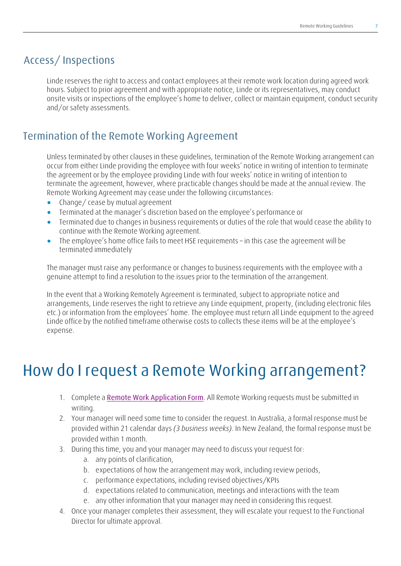## <span id="page-6-0"></span>**Access/ Inspections**

Linde reserves the right to access and contact employees at their remote work location during agreed work hours. Subject to prior agreement and with appropriate notice, Linde or its representatives, may conduct onsite visits or inspections of the employee's home to deliver, collect or maintain equipment, conduct security and/or safety assessments.

### <span id="page-6-1"></span>**Termination of the Remote Working Agreement**

Unless terminated by other clauses in these guidelines, termination of the Remote Working arrangement can occur from either Linde providing the employee with four weeks' notice in writing of intention to terminate the agreement or by the employee providing Linde with four weeks' notice in writing of intention to terminate the agreement, however, where practicable changes should be made at the annual review. The Remote Working Agreement may cease under the following circumstances:

- Change/ cease by mutual agreement
- Terminated at the manager's discretion based on the employee's performance or
- Terminated due to changes in business requirements or duties of the role that would cease the ability to continue with the Remote Working agreement.
- The employee's home office fails to meet HSE requirements in this case the agreement will be terminated immediately

The manager must raise any performance or changes to business requirements with the employee with a genuine attempt to find a resolution to the issues prior to the termination of the arrangement.

In the event that a Working Remotely Agreement is terminated, subject to appropriate notice and arrangements, Linde reserves the right to retrieve any Linde equipment, property, (including electronic files etc.) or information from the employees' home. The employee must return all Linde equipment to the agreed Linde office by the notified timeframe otherwise costs to collects these items will be at the employee's expense.

## <span id="page-6-2"></span>**How do I request a Remote Working arrangement?**

- 1. Complete a **Remote [Work Application Form](https://forms.logiforms.com/formdata/user_forms/75334_5604693/382637/page1.html?cachebust=2651)**. All Remote Working requests must be submitted in writing.
- 2. Your manager will need some time to consider the request. In Australia, a formal response must be provided within 21 calendar days *(3 business weeks)*. In New Zealand, the formal response must be provided within 1 month.
- 3. During this time, you and your manager may need to discuss your request for:
	- a. any points of clarification,
	- b. expectations of how the arrangement may work, including review periods,
	- c. performance expectations, including revised objectives/KPIs
	- d. expectations related to communication, meetings and interactions with the team
	- e. any other information that your manager may need in considering this request.
- 4. Once your manager completes their assessment, they will escalate your request to the Functional Director for ultimate approval.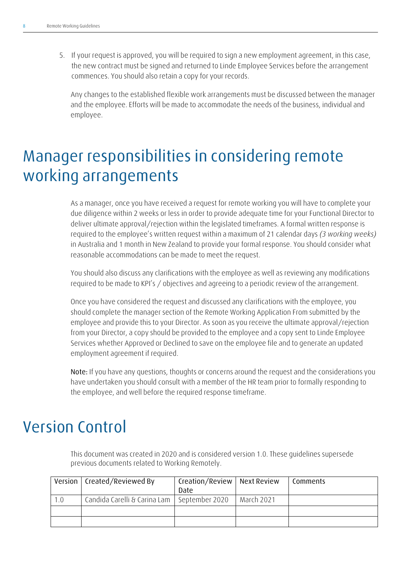5. If your request is approved, you will be required to sign a new employment agreement, in this case, the new contract must be signed and returned to Linde Employee Services before the arrangement commences. You should also retain a copy for your records.

Any changes to the established flexible work arrangements must be discussed between the manager and the employee. Efforts will be made to accommodate the needs of the business, individual and employee.

## <span id="page-7-0"></span>**Manager responsibilities in considering remote working arrangements**

As a manager, once you have received a request for remote working you will have to complete your due diligence within 2 weeks or less in order to provide adequate time for your Functional Director to deliver ultimate approval/rejection within the legislated timeframes. A formal written response is required to the employee's written request within a maximum of 21 calendar days *(3 working weeks)* in Australia and 1 month in New Zealand to provide your formal response. You should consider what reasonable accommodations can be made to meet the request.

You should also discuss any clarifications with the employee as well as reviewing any modifications required to be made to KPI's / objectives and agreeing to a periodic review of the arrangement.

Once you have considered the request and discussed any clarifications with the employee, you should complete the manager section of the Remote Working Application From submitted by the employee and provide this to your Director. As soon as you receive the ultimate approval/rejection from your Director, a copy should be provided to the employee and a copy sent to Linde Employee Services whether Approved or Declined to save on the employee file and to generate an updated employment agreement if required.

**Note:** If you have any questions, thoughts or concerns around the request and the considerations you have undertaken you should consult with a member of the HR team prior to formally responding to the employee, and well before the required response timeframe.

## <span id="page-7-1"></span>**Version Control**

This document was created in 2020 and is considered version 1.0. These guidelines supersede previous documents related to Working Remotely.

|     | Version   Created/Reviewed By | Creation/Review   Next Review<br>Date |            | Comments |
|-----|-------------------------------|---------------------------------------|------------|----------|
| 1.0 | Candida Carelli & Carina Lam  | September 2020                        | March 2021 |          |
|     |                               |                                       |            |          |
|     |                               |                                       |            |          |